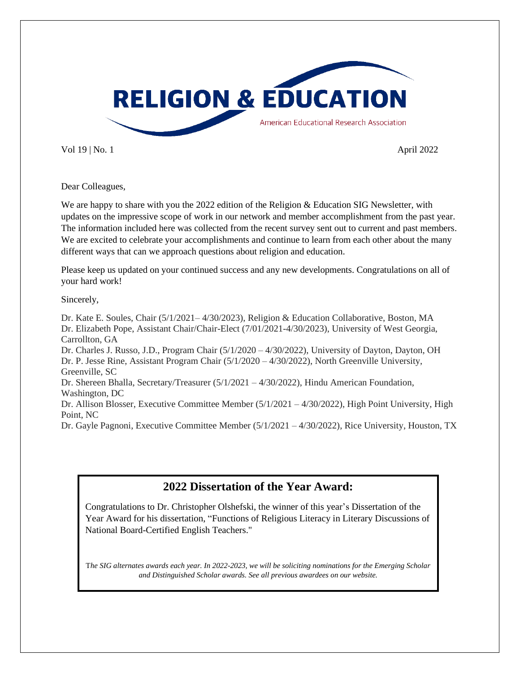

Vol 19 | No. 1 **April 2022** 

Dear Colleagues,

We are happy to share with you the 2022 edition of the Religion & Education SIG Newsletter, with updates on the impressive scope of work in our network and member accomplishment from the past year. The information included here was collected from the recent survey sent out to current and past members. We are excited to celebrate your accomplishments and continue to learn from each other about the many different ways that can we approach questions about religion and education.

Please keep us updated on your continued success and any new developments. Congratulations on all of your hard work!

Sincerely,

Dr. Kate E. Soules, Chair (5/1/2021– 4/30/2023), Religion & Education Collaborative, Boston, MA Dr. Elizabeth Pope, Assistant Chair/Chair-Elect (7/01/2021-4/30/2023), University of West Georgia, Carrollton, GA Dr. Charles J. Russo, J.D., Program Chair (5/1/2020 – 4/30/2022), University of Dayton, Dayton, OH Dr. P. Jesse Rine, Assistant Program Chair (5/1/2020 – 4/30/2022), North Greenville University, Greenville, SC Dr. Shereen Bhalla, Secretary/Treasurer (5/1/2021 – 4/30/2022), Hindu American Foundation, Washington, DC Dr. Allison Blosser, Executive Committee Member (5/1/2021 – 4/30/2022), High Point University, High Point, NC Dr. Gayle Pagnoni, Executive Committee Member (5/1/2021 – 4/30/2022), Rice University, Houston, TX

**2022 Dissertation of the Year Award:**

Congratulations to Dr. Christopher Olshefski, the winner of this year's Dissertation of the Year Award for his dissertation, "Functions of Religious Literacy in Literary Discussions of National Board-Certified English Teachers."

T*he SIG alternates awards each year. In 2022-2023, we will be soliciting nominations for the Emerging Scholar and Distinguished Scholar awards. See all previous awardees on our website.*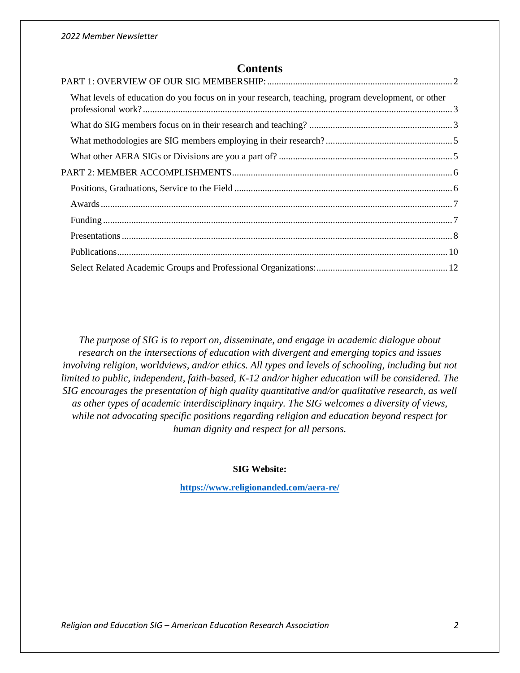## **Contents**

| What levels of education do you focus on in your research, teaching, program development, or other |  |
|----------------------------------------------------------------------------------------------------|--|
|                                                                                                    |  |
|                                                                                                    |  |
|                                                                                                    |  |
|                                                                                                    |  |
|                                                                                                    |  |
|                                                                                                    |  |
|                                                                                                    |  |
|                                                                                                    |  |
|                                                                                                    |  |
|                                                                                                    |  |

*The purpose of SIG is to report on, disseminate, and engage in academic dialogue about research on the intersections of education with divergent and emerging topics and issues involving religion, worldviews, and/or ethics. All types and levels of schooling, including but not limited to public, independent, faith-based, K-12 and/or higher education will be considered. The SIG encourages the presentation of high quality quantitative and/or qualitative research, as well as other types of academic interdisciplinary inquiry. The SIG welcomes a diversity of views, while not advocating specific positions regarding religion and education beyond respect for human dignity and respect for all persons.*

#### **SIG Website:**

<span id="page-1-0"></span>**<https://www.religionanded.com/aera-re/>**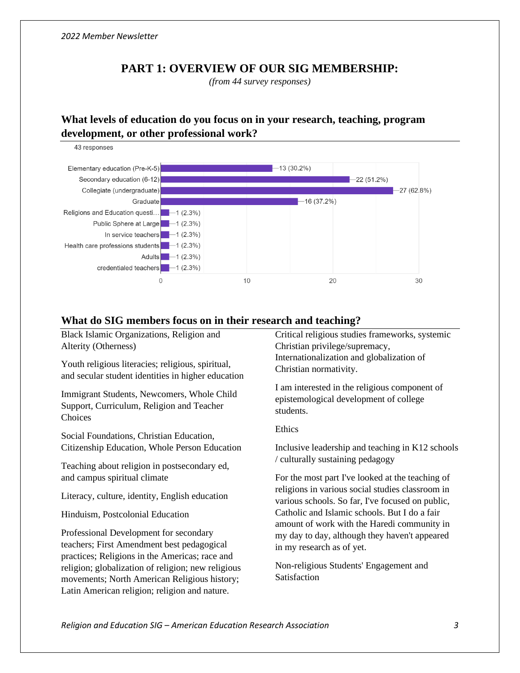## **PART 1: OVERVIEW OF OUR SIG MEMBERSHIP:**

*(from 44 survey responses)*

## <span id="page-2-0"></span>**What levels of education do you focus on in your research, teaching, program development, or other professional work?**

43 responses



### <span id="page-2-1"></span>**What do SIG members focus on in their research and teaching?**

| Black Islamic Organizations, Religion and                                                                                                           | Critical religious studies frameworks, systemic                                                                           |
|-----------------------------------------------------------------------------------------------------------------------------------------------------|---------------------------------------------------------------------------------------------------------------------------|
| Alterity (Otherness)                                                                                                                                | Christian privilege/supremacy,                                                                                            |
| Youth religious literacies; religious, spiritual,<br>and secular student identities in higher education                                             | Internationalization and globalization of<br>Christian normativity.                                                       |
| Immigrant Students, Newcomers, Whole Child<br>Support, Curriculum, Religion and Teacher<br>Choices                                                  | I am interested in the religious component of<br>epistemological development of college<br>students.                      |
| Social Foundations, Christian Education,                                                                                                            | Ethics                                                                                                                    |
| Citizenship Education, Whole Person Education                                                                                                       | Inclusive leadership and teaching in K12 schools                                                                          |
| Teaching about religion in postsecondary ed,                                                                                                        | / culturally sustaining pedagogy                                                                                          |
| and campus spiritual climate                                                                                                                        | For the most part I've looked at the teaching of                                                                          |
| Literacy, culture, identity, English education                                                                                                      | religions in various social studies classroom in<br>various schools. So far, I've focused on public,                      |
| Hinduism, Postcolonial Education                                                                                                                    | Catholic and Islamic schools. But I do a fair                                                                             |
| Professional Development for secondary<br>teachers; First Amendment best pedagogical<br>practices; Religions in the Americas; race and              | amount of work with the Haredi community in<br>my day to day, although they haven't appeared<br>in my research as of yet. |
| religion; globalization of religion; new religious<br>movements; North American Religious history;<br>Latin American religion; religion and nature. | Non-religious Students' Engagement and<br>Satisfaction                                                                    |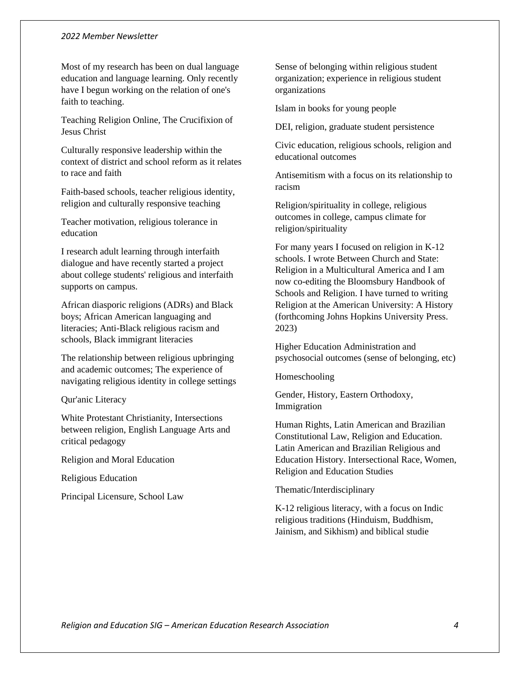Most of my research has been on dual language education and language learning. Only recently have I begun working on the relation of one's faith to teaching.

Teaching Religion Online, The Crucifixion of Jesus Christ

Culturally responsive leadership within the context of district and school reform as it relates to race and faith

Faith-based schools, teacher religious identity, religion and culturally responsive teaching

Teacher motivation, religious tolerance in education

I research adult learning through interfaith dialogue and have recently started a project about college students' religious and interfaith supports on campus.

African diasporic religions (ADRs) and Black boys; African American languaging and literacies; Anti-Black religious racism and schools, Black immigrant literacies

The relationship between religious upbringing and academic outcomes; The experience of navigating religious identity in college settings

Qur'anic Literacy

White Protestant Christianity, Intersections between religion, English Language Arts and critical pedagogy

Religion and Moral Education

Religious Education

<span id="page-3-0"></span>Principal Licensure, School Law

Sense of belonging within religious student organization; experience in religious student organizations

Islam in books for young people

DEI, religion, graduate student persistence

Civic education, religious schools, religion and educational outcomes

Antisemitism with a focus on its relationship to racism

Religion/spirituality in college, religious outcomes in college, campus climate for religion/spirituality

For many years I focused on religion in K-12 schools. I wrote Between Church and State: Religion in a Multicultural America and I am now co-editing the Bloomsbury Handbook of Schools and Religion. I have turned to writing Religion at the American University: A History (forthcoming Johns Hopkins University Press. 2023)

Higher Education Administration and psychosocial outcomes (sense of belonging, etc)

Homeschooling

Gender, History, Eastern Orthodoxy, Immigration

Human Rights, Latin American and Brazilian Constitutional Law, Religion and Education. Latin American and Brazilian Religious and Education History. Intersectional Race, Women, Religion and Education Studies

Thematic/Interdisciplinary

K-12 religious literacy, with a focus on Indic religious traditions (Hinduism, Buddhism, Jainism, and Sikhism) and biblical studie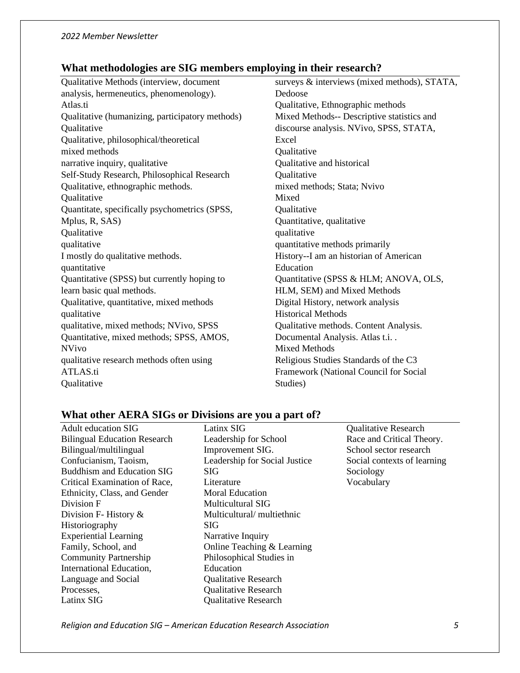# **What methodologies are SIG members employing in their research?**

| surveys & interviews (mixed methods), STATA, |  |
|----------------------------------------------|--|
| Dedoose                                      |  |
| Qualitative, Ethnographic methods            |  |
| Mixed Methods-- Descriptive statistics and   |  |
| discourse analysis. NVivo, SPSS, STATA,      |  |
| Excel                                        |  |
| Qualitative                                  |  |
| Qualitative and historical                   |  |
| Qualitative                                  |  |
| mixed methods; Stata; Nvivo                  |  |
| Mixed                                        |  |
| Qualitative                                  |  |
| Quantitative, qualitative                    |  |
| qualitative                                  |  |
| quantitative methods primarily               |  |
| History--I am an historian of American       |  |
| Education                                    |  |
| Quantitative (SPSS & HLM; ANOVA, OLS,        |  |
| HLM, SEM) and Mixed Methods                  |  |
| Digital History, network analysis            |  |
| <b>Historical Methods</b>                    |  |
| Qualitative methods. Content Analysis.       |  |
| Documental Analysis. Atlas t.i. .            |  |
| <b>Mixed Methods</b>                         |  |
| Religious Studies Standards of the C3        |  |
| Framework (National Council for Social       |  |
| Studies)                                     |  |
|                                              |  |

## <span id="page-4-0"></span>**What other AERA SIGs or Divisions are you a part of?**

| Adult education SIG                 | Latinx SIG                    | <b>Qualitative Research</b> |
|-------------------------------------|-------------------------------|-----------------------------|
| <b>Bilingual Education Research</b> | Leadership for School         | Race and Critical Theory.   |
| Bilingual/multilingual              | Improvement SIG.              | School sector research      |
| Confucianism, Taoism,               | Leadership for Social Justice | Social contexts of learning |
| <b>Buddhism and Education SIG</b>   | SIG.                          | Sociology                   |
| Critical Examination of Race,       | Literature                    | Vocabulary                  |
| Ethnicity, Class, and Gender        | <b>Moral Education</b>        |                             |
| Division F                          | Multicultural SIG             |                             |
| Division F-History $\&$             | Multicultural/multiethnic     |                             |
| Historiography                      | SIG.                          |                             |
| <b>Experiential Learning</b>        | Narrative Inquiry             |                             |
| Family, School, and                 | Online Teaching & Learning    |                             |
| <b>Community Partnership</b>        | Philosophical Studies in      |                             |
| International Education,            | Education                     |                             |
| Language and Social                 | <b>Qualitative Research</b>   |                             |
| Processes.                          | <b>Qualitative Research</b>   |                             |
| Latinx SIG                          | <b>Qualitative Research</b>   |                             |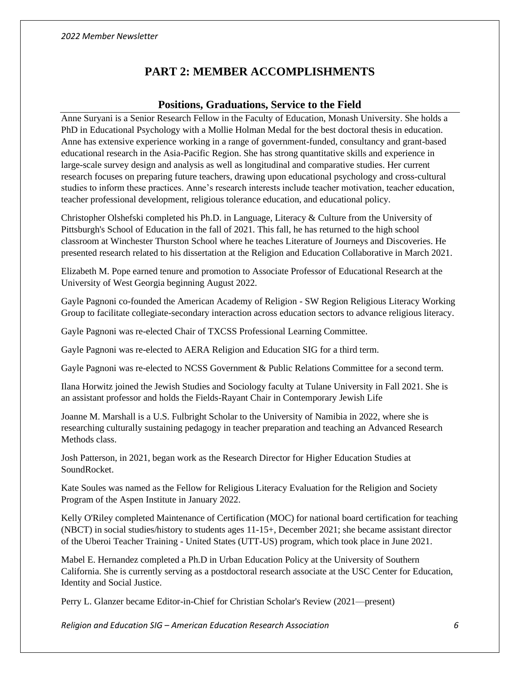## **PART 2: MEMBER ACCOMPLISHMENTS**

## **Positions, Graduations, Service to the Field**

<span id="page-5-1"></span><span id="page-5-0"></span>Anne Suryani is a Senior Research Fellow in the Faculty of Education, Monash University. She holds a PhD in Educational Psychology with a Mollie Holman Medal for the best doctoral thesis in education. Anne has extensive experience working in a range of government-funded, consultancy and grant-based educational research in the Asia-Pacific Region. She has strong quantitative skills and experience in large-scale survey design and analysis as well as longitudinal and comparative studies. Her current research focuses on preparing future teachers, drawing upon educational psychology and cross-cultural studies to inform these practices. Anne's research interests include teacher motivation, teacher education, teacher professional development, religious tolerance education, and educational policy.

Christopher Olshefski completed his Ph.D. in Language, Literacy & Culture from the University of Pittsburgh's School of Education in the fall of 2021. This fall, he has returned to the high school classroom at Winchester Thurston School where he teaches Literature of Journeys and Discoveries. He presented research related to his dissertation at the Religion and Education Collaborative in March 2021.

Elizabeth M. Pope earned tenure and promotion to Associate Professor of Educational Research at the University of West Georgia beginning August 2022.

Gayle Pagnoni co-founded the American Academy of Religion - SW Region Religious Literacy Working Group to facilitate collegiate-secondary interaction across education sectors to advance religious literacy.

Gayle Pagnoni was re-elected Chair of TXCSS Professional Learning Committee.

Gayle Pagnoni was re-elected to AERA Religion and Education SIG for a third term.

Gayle Pagnoni was re-elected to NCSS Government & Public Relations Committee for a second term.

Ilana Horwitz joined the Jewish Studies and Sociology faculty at Tulane University in Fall 2021. She is an assistant professor and holds the Fields-Rayant Chair in Contemporary Jewish Life

Joanne M. Marshall is a U.S. Fulbright Scholar to the University of Namibia in 2022, where she is researching culturally sustaining pedagogy in teacher preparation and teaching an Advanced Research Methods class.

Josh Patterson, in 2021, began work as the Research Director for Higher Education Studies at SoundRocket.

Kate Soules was named as the Fellow for Religious Literacy Evaluation for the Religion and Society Program of the Aspen Institute in January 2022.

Kelly O'Riley completed Maintenance of Certification (MOC) for national board certification for teaching (NBCT) in social studies/history to students ages 11-15+, December 2021; she became assistant director of the Uberoi Teacher Training - United States (UTT-US) program, which took place in June 2021.

Mabel E. Hernandez completed a Ph.D in Urban Education Policy at the University of Southern California. She is currently serving as a postdoctoral research associate at the USC Center for Education, Identity and Social Justice.

Perry L. Glanzer became Editor-in-Chief for Christian Scholar's Review (2021—present)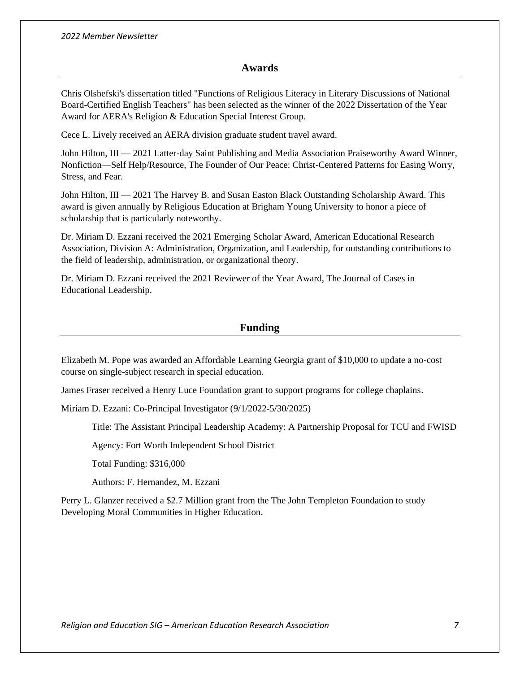#### **Awards**

<span id="page-6-0"></span>Chris Olshefski's dissertation titled "Functions of Religious Literacy in Literary Discussions of National Board-Certified English Teachers" has been selected as the winner of the 2022 Dissertation of the Year Award for AERA's Religion & Education Special Interest Group.

Cece L. Lively received an AERA division graduate student travel award.

John Hilton, III — 2021 Latter-day Saint Publishing and Media Association Praiseworthy Award Winner, Nonfiction—Self Help/Resource, The Founder of Our Peace: Christ-Centered Patterns for Easing Worry, Stress, and Fear.

John Hilton, III — 2021 The Harvey B. and Susan Easton Black Outstanding Scholarship Award. This award is given annually by Religious Education at Brigham Young University to honor a piece of scholarship that is particularly noteworthy.

Dr. Miriam D. Ezzani received the 2021 Emerging Scholar Award, American Educational Research Association, Division A: Administration, Organization, and Leadership, for outstanding contributions to the field of leadership, administration, or organizational theory.

Dr. Miriam D. Ezzani received the 2021 Reviewer of the Year Award, The Journal of Cases in Educational Leadership.

### **Funding**

<span id="page-6-1"></span>Elizabeth M. Pope was awarded an Affordable Learning Georgia grant of \$10,000 to update a no-cost course on single-subject research in special education.

James Fraser received a Henry Luce Foundation grant to support programs for college chaplains.

Miriam D. Ezzani: Co-Principal Investigator (9/1/2022-5/30/2025)

Title: The Assistant Principal Leadership Academy: A Partnership Proposal for TCU and FWISD

Agency: Fort Worth Independent School District

Total Funding: \$316,000

Authors: F. Hernandez, M. Ezzani

Perry L. Glanzer received a \$2.7 Million grant from the The John Templeton Foundation to study Developing Moral Communities in Higher Education.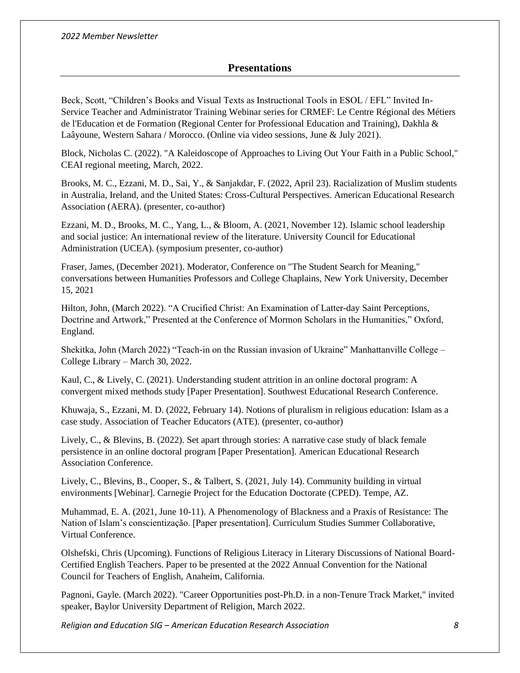## **Presentations**

<span id="page-7-0"></span>Beck, Scott, "Children's Books and Visual Texts as Instructional Tools in ESOL / EFL" Invited In-Service Teacher and Administrator Training Webinar series for CRMEF: Le Centre Régional des Métiers de l'Education et de Formation (Regional Center for Professional Education and Training), Dakhla & Laâyoune, Western Sahara / Morocco. (Online via video sessions, June & July 2021).

Block, Nicholas C. (2022). "A Kaleidoscope of Approaches to Living Out Your Faith in a Public School," CEAI regional meeting, March, 2022.

Brooks, M. C., Ezzani, M. D., Sai, Y., & Sanjakdar, F. (2022, April 23). Racialization of Muslim students in Australia, Ireland, and the United States: Cross-Cultural Perspectives. American Educational Research Association (AERA). (presenter, co-author)

Ezzani, M. D., Brooks, M. C., Yang, L., & Bloom, A. (2021, November 12). Islamic school leadership and social justice: An international review of the literature. University Council for Educational Administration (UCEA). (symposium presenter, co-author)

Fraser, James, (December 2021). Moderator, Conference on "The Student Search for Meaning," conversations between Humanities Professors and College Chaplains, New York University, December 15, 2021

Hilton, John, (March 2022). "A Crucified Christ: An Examination of Latter-day Saint Perceptions, Doctrine and Artwork," Presented at the Conference of Mormon Scholars in the Humanities," Oxford, England.

Shekitka, John (March 2022) "Teach-in on the Russian invasion of Ukraine" Manhattanville College – College Library – March 30, 2022.

Kaul, C., & Lively, C. (2021). Understanding student attrition in an online doctoral program: A convergent mixed methods study [Paper Presentation]. Southwest Educational Research Conference.

Khuwaja, S., Ezzani, M. D. (2022, February 14). Notions of pluralism in religious education: Islam as a case study. Association of Teacher Educators (ATE). (presenter, co-author)

Lively, C., & Blevins, B. (2022). Set apart through stories: A narrative case study of black female persistence in an online doctoral program [Paper Presentation]. American Educational Research Association Conference.

Lively, C., Blevins, B., Cooper, S., & Talbert, S. (2021, July 14). Community building in virtual environments [Webinar]. Carnegie Project for the Education Doctorate (CPED). Tempe, AZ.

Muhammad, E. A. (2021, June 10-11). A Phenomenology of Blackness and a Praxis of Resistance: The Nation of Islam's conscientização. [Paper presentation]. Curriculum Studies Summer Collaborative, Virtual Conference.

Olshefski, Chris (Upcoming). Functions of Religious Literacy in Literary Discussions of National Board-Certified English Teachers. Paper to be presented at the 2022 Annual Convention for the National Council for Teachers of English, Anaheim, California.

Pagnoni, Gayle. (March 2022). "Career Opportunities post-Ph.D. in a non-Tenure Track Market," invited speaker, Baylor University Department of Religion, March 2022.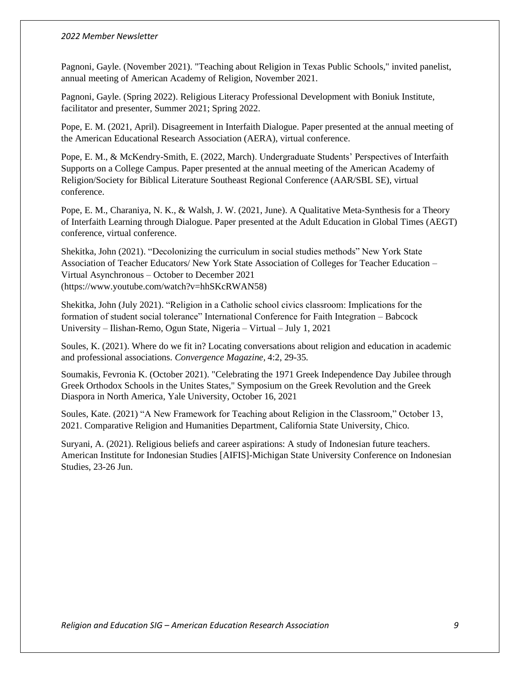Pagnoni, Gayle. (November 2021). "Teaching about Religion in Texas Public Schools," invited panelist, annual meeting of American Academy of Religion, November 2021.

Pagnoni, Gayle. (Spring 2022). Religious Literacy Professional Development with Boniuk Institute, facilitator and presenter, Summer 2021; Spring 2022.

Pope, E. M. (2021, April). Disagreement in Interfaith Dialogue. Paper presented at the annual meeting of the American Educational Research Association (AERA), virtual conference.

Pope, E. M., & McKendry-Smith, E. (2022, March). Undergraduate Students' Perspectives of Interfaith Supports on a College Campus. Paper presented at the annual meeting of the American Academy of Religion/Society for Biblical Literature Southeast Regional Conference (AAR/SBL SE), virtual conference.

Pope, E. M., Charaniya, N. K., & Walsh, J. W. (2021, June). A Qualitative Meta-Synthesis for a Theory of Interfaith Learning through Dialogue. Paper presented at the Adult Education in Global Times (AEGT) conference, virtual conference.

Shekitka, John (2021). "Decolonizing the curriculum in social studies methods" New York State Association of Teacher Educators/ New York State Association of Colleges for Teacher Education – Virtual Asynchronous – October to December 2021 (https://www.youtube.com/watch?v=hhSKcRWAN58)

Shekitka, John (July 2021). "Religion in a Catholic school civics classroom: Implications for the formation of student social tolerance" International Conference for Faith Integration – Babcock University – Ilishan-Remo, Ogun State, Nigeria – Virtual – July 1, 2021

Soules, K. (2021). Where do we fit in? Locating conversations about religion and education in academic and professional associations. *Convergence Magazine,* 4:2, 29-35*.*

Soumakis, Fevronia K. (October 2021). "Celebrating the 1971 Greek Independence Day Jubilee through Greek Orthodox Schools in the Unites States," Symposium on the Greek Revolution and the Greek Diaspora in North America, Yale University, October 16, 2021

Soules, Kate. (2021) "A New Framework for Teaching about Religion in the Classroom," October 13, 2021. Comparative Religion and Humanities Department, California State University, Chico.

Suryani, A. (2021). Religious beliefs and career aspirations: A study of Indonesian future teachers. American Institute for Indonesian Studies [AIFIS]-Michigan State University Conference on Indonesian Studies, 23-26 Jun.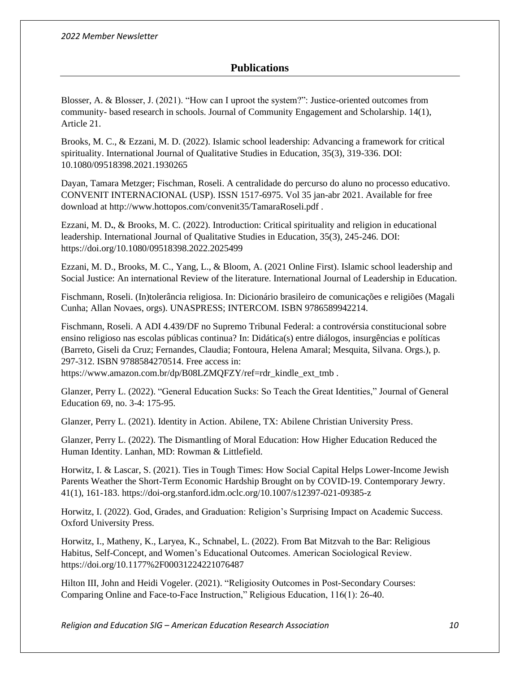## **Publications**

<span id="page-9-0"></span>Blosser, A. & Blosser, J. (2021). "How can I uproot the system?": Justice-oriented outcomes from community- based research in schools. Journal of Community Engagement and Scholarship. 14(1), Article 21.

Brooks, M. C., & Ezzani, M. D. (2022). Islamic school leadership: Advancing a framework for critical spirituality. International Journal of Qualitative Studies in Education, 35(3), 319-336. DOI: 10.1080/09518398.2021.1930265

Dayan, Tamara Metzger; Fischman, Roseli. A centralidade do percurso do aluno no processo educativo. CONVENIT INTERNACIONAL (USP). ISSN 1517-6975. Vol 35 jan-abr 2021. Available for free download at http://www.hottopos.com/convenit35/TamaraRoseli.pdf .

Ezzani, M. D**.**, & Brooks, M. C. (2022). Introduction: Critical spirituality and religion in educational leadership. International Journal of Qualitative Studies in Education, 35(3), 245-246. DOI: https://doi.org/10.1080/09518398.2022.2025499

Ezzani, M. D., Brooks, M. C., Yang, L., & Bloom, A. (2021 Online First). Islamic school leadership and Social Justice: An international Review of the literature. International Journal of Leadership in Education.

Fischmann, Roseli. (In)tolerância religiosa. In: Dicionário brasileiro de comunicações e religiões (Magali Cunha; Allan Novaes, orgs). UNASPRESS; INTERCOM. ISBN 9786589942214.

Fischmann, Roseli. A ADI 4.439/DF no Supremo Tribunal Federal: a controvérsia constitucional sobre ensino religioso nas escolas públicas continua? In: Didática(s) entre diálogos, insurgências e políticas (Barreto, Giseli da Cruz; Fernandes, Claudia; Fontoura, Helena Amaral; Mesquita, Silvana. Orgs.), p. 297-312. ISBN 9788584270514. Free access in:

https://www.amazon.com.br/dp/B08LZMQFZY/ref=rdr\_kindle\_ext\_tmb .

Glanzer, Perry L. (2022). "General Education Sucks: So Teach the Great Identities," Journal of General Education 69, no. 3-4: 175-95.

Glanzer, Perry L. (2021). Identity in Action. Abilene, TX: Abilene Christian University Press.

Glanzer, Perry L. (2022). The Dismantling of Moral Education: How Higher Education Reduced the Human Identity. Lanhan, MD: Rowman & Littlefield.

Horwitz, I. & Lascar, S. (2021). Ties in Tough Times: How Social Capital Helps Lower-Income Jewish Parents Weather the Short-Term Economic Hardship Brought on by COVID-19. Contemporary Jewry. 41(1), 161-183. https://doi-org.stanford.idm.oclc.org/10.1007/s12397-021-09385-z

Horwitz, I. (2022). God, Grades, and Graduation: Religion's Surprising Impact on Academic Success. Oxford University Press.

Horwitz, I., Matheny, K., Laryea, K., Schnabel, L. (2022). From Bat Mitzvah to the Bar: Religious Habitus, Self-Concept, and Women's Educational Outcomes. American Sociological Review. https://doi.org/10.1177%2F00031224221076487

Hilton III, John and Heidi Vogeler. (2021). "Religiosity Outcomes in Post-Secondary Courses: Comparing Online and Face-to-Face Instruction," Religious Education, 116(1): 26-40.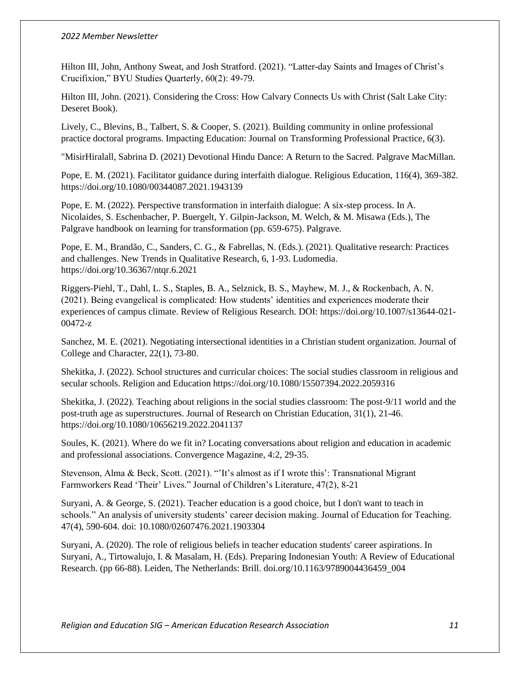Hilton III, John, Anthony Sweat, and Josh Stratford. (2021). "Latter-day Saints and Images of Christ's Crucifixion," BYU Studies Quarterly, 60(2): 49-79.

Hilton III, John. (2021). Considering the Cross: How Calvary Connects Us with Christ (Salt Lake City: Deseret Book).

Lively, C., Blevins, B., Talbert, S. & Cooper, S. (2021). Building community in online professional practice doctoral programs. Impacting Education: Journal on Transforming Professional Practice, 6(3).

"MisirHiralall, Sabrina D. (2021) Devotional Hindu Dance: A Return to the Sacred. Palgrave MacMillan.

Pope, E. M. (2021). Facilitator guidance during interfaith dialogue. Religious Education, 116(4), 369-382. https://doi.org/10.1080/00344087.2021.1943139

Pope, E. M. (2022). Perspective transformation in interfaith dialogue: A six-step process. In A. Nicolaides, S. Eschenbacher, P. Buergelt, Y. Gilpin-Jackson, M. Welch, & M. Misawa (Eds.), The Palgrave handbook on learning for transformation (pp. 659-675). Palgrave.

Pope, E. M., Brandão, C., Sanders, C. G., & Fabrellas, N. (Eds.). (2021). Qualitative research: Practices and challenges. New Trends in Qualitative Research, 6, 1-93. Ludomedia. https://doi.org/10.36367/ntqr.6.2021

Riggers-Piehl, T., Dahl, L. S., Staples, B. A., Selznick, B. S., Mayhew, M. J., & Rockenbach, A. N. (2021). Being evangelical is complicated: How students' identities and experiences moderate their experiences of campus climate. Review of Religious Research. DOI: https://doi.org/10.1007/s13644-021- 00472-z

Sanchez, M. E. (2021). Negotiating intersectional identities in a Christian student organization. Journal of College and Character, 22(1), 73-80.

Shekitka, J. (2022). School structures and curricular choices: The social studies classroom in religious and secular schools. Religion and Education https://doi.org/10.1080/15507394.2022.2059316

Shekitka, J. (2022). Teaching about religions in the social studies classroom: The post-9/11 world and the post-truth age as superstructures. Journal of Research on Christian Education, 31(1), 21-46. https://doi.org/10.1080/10656219.2022.2041137

Soules, K. (2021). Where do we fit in? Locating conversations about religion and education in academic and professional associations. Convergence Magazine, 4:2, 29-35.

Stevenson, Alma & Beck, Scott. (2021). "'It's almost as if I wrote this': Transnational Migrant Farmworkers Read 'Their' Lives." Journal of Children's Literature, 47(2), 8-21

Suryani, A. & George, S. (2021). Teacher education is a good choice, but I don't want to teach in schools." An analysis of university students' career decision making. Journal of Education for Teaching. 47(4), 590-604. doi: 10.1080/02607476.2021.1903304

Suryani, A. (2020). The role of religious beliefs in teacher education students' career aspirations. In Suryani, A., Tirtowalujo, I. & Masalam, H. (Eds). Preparing Indonesian Youth: A Review of Educational Research. (pp 66-88). Leiden, The Netherlands: Brill. doi.org/10.1163/9789004436459\_004